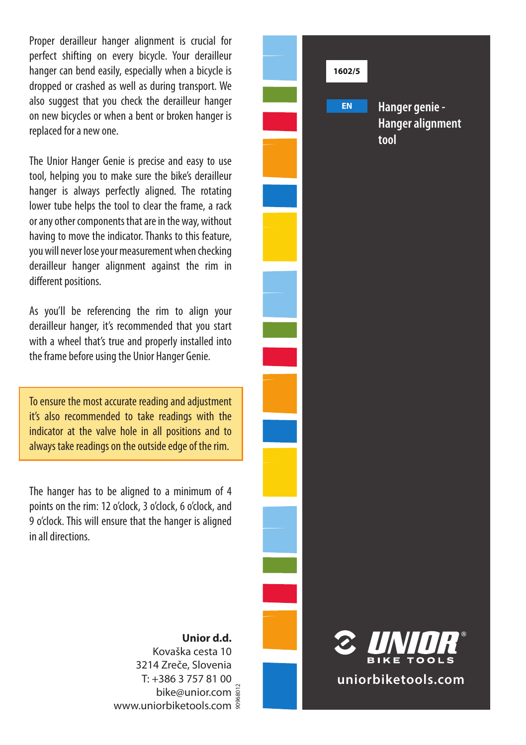Proper derailleur hanger alignment is crucial for perfect shifting on every bicycle. Your derailleur hanger can bend easily, especially when a bicycle is dropped or crashed as well as during transport. We also suggest that you check the derailleur hanger on new bicycles or when a bent or broken hanger is replaced for a new one.

The Unior Hanger Genie is precise and easy to use tool, helping you to make sure the bike's derailleur hanger is always perfectly aligned. The rotating lower tube helps the tool to clear the frame, a rack or any other components that are in the way, without having to move the indicator. Thanks to this feature, you will never lose your measurement when checking derailleur hanger alignment against the rim in different positions.

As you'll be referencing the rim to align your derailleur hanger, it's recommended that you start with a wheel that's true and properly installed into the frame before using the Unior Hanger Genie.

 To ensure the most accurate reading and adjustment it's also recommended to take readings with the indicator at the valve hole in all positions and to always take readings on the outside edge of the rim.

The hanger has to be aligned to a minimum of 4 points on the rim: 12 o'clock, 3 o'clock, 6 o'clock, and 9 o'clock. This will ensure that the hanger is aligned in all directions.



**Unior d.d.** Kovaška cesta 10 3214 Zreče, Slovenia T: +386 3 757 81 00 bike@unior.com www.uniorbiketools.com 90968012